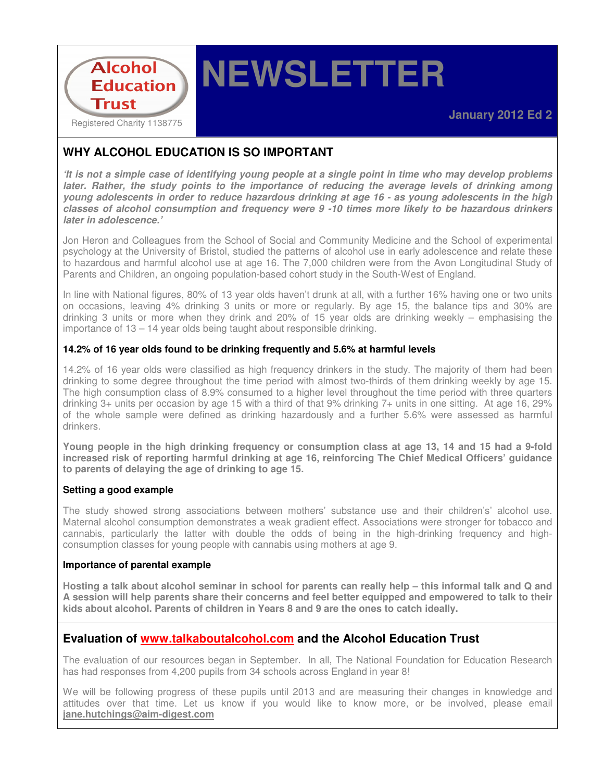

# **NEWSLETTER**

# **WHY ALCOHOL EDUCATION IS SO IMPORTANT**

**'It is not a simple case of identifying young people at a single point in time who may develop problems later. Rather, the study points to the importance of reducing the average levels of drinking among young adolescents in order to reduce hazardous drinking at age 16 - as young adolescents in the high classes of alcohol consumption and frequency were 9 -10 times more likely to be hazardous drinkers later in adolescence.'** 

Jon Heron and Colleagues from the School of Social and Community Medicine and the School of experimental psychology at the University of Bristol, studied the patterns of alcohol use in early adolescence and relate these to hazardous and harmful alcohol use at age 16. The 7,000 children were from the Avon Longitudinal Study of Parents and Children, an ongoing population-based cohort study in the South-West of England.

In line with National figures, 80% of 13 year olds haven't drunk at all, with a further 16% having one or two units on occasions, leaving 4% drinking 3 units or more or regularly. By age 15, the balance tips and 30% are drinking 3 units or more when they drink and 20% of 15 year olds are drinking weekly – emphasising the importance of 13 – 14 year olds being taught about responsible drinking.

#### **14.2% of 16 year olds found to be drinking frequently and 5.6% at harmful levels**

14.2% of 16 year olds were classified as high frequency drinkers in the study. The majority of them had been drinking to some degree throughout the time period with almost two-thirds of them drinking weekly by age 15. The high consumption class of 8.9% consumed to a higher level throughout the time period with three quarters drinking 3+ units per occasion by age 15 with a third of that 9% drinking 7+ units in one sitting. At age 16, 29% of the whole sample were defined as drinking hazardously and a further 5.6% were assessed as harmful drinkers.

**Young people in the high drinking frequency or consumption class at age 13, 14 and 15 had a 9-fold increased risk of reporting harmful drinking at age 16, reinforcing The Chief Medical Officers' guidance to parents of delaying the age of drinking to age 15.** 

#### **Setting a good example**

The study showed strong associations between mothers' substance use and their children's' alcohol use. Maternal alcohol consumption demonstrates a weak gradient effect. Associations were stronger for tobacco and cannabis, particularly the latter with double the odds of being in the high-drinking frequency and highconsumption classes for young people with cannabis using mothers at age 9.

#### **Importance of parental example**

**Hosting a talk about alcohol seminar in school for parents can really help – this informal talk and Q and A session will help parents share their concerns and feel better equipped and empowered to talk to their kids about alcohol. Parents of children in Years 8 and 9 are the ones to catch ideally.** 

### **Evaluation of www.talkaboutalcohol.com and the Alcohol Education Trust**

The evaluation of our resources began in September. In all, The National Foundation for Education Research has had responses from 4,200 pupils from 34 schools across England in year 8!

We will be following progress of these pupils until 2013 and are measuring their changes in knowledge and attitudes over that time. Let us know if you would like to know more, or be involved, please email **jane.hutchings@aim-digest.com**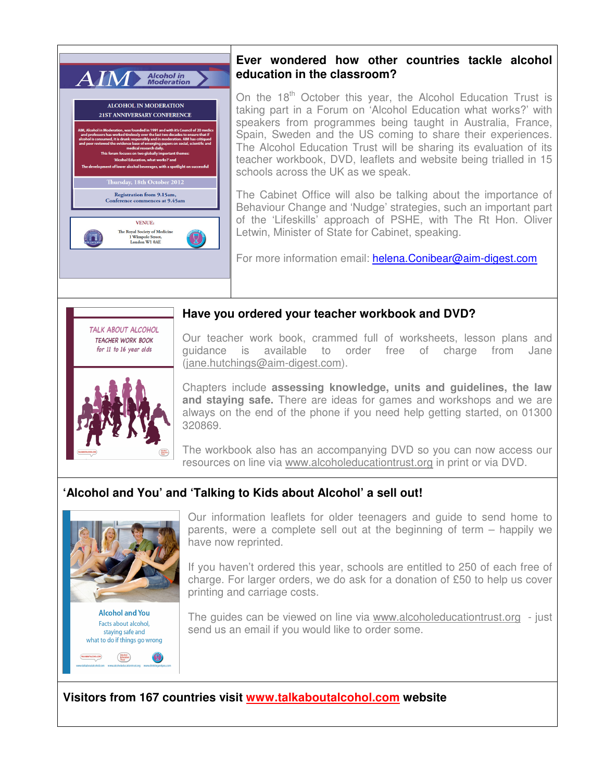

## **Ever wondered how other countries tackle alcohol education in the classroom?**

On the  $18<sup>th</sup>$  October this year, the Alcohol Education Trust is taking part in a Forum on 'Alcohol Education what works?' with speakers from programmes being taught in Australia, France, Spain, Sweden and the US coming to share their experiences. The Alcohol Education Trust will be sharing its evaluation of its teacher workbook, DVD, leaflets and website being trialled in 15 schools across the UK as we speak.

The Cabinet Office will also be talking about the importance of Behaviour Change and 'Nudge' strategies, such an important part of the 'Lifeskills' approach of PSHE, with The Rt Hon. Oliver Letwin, Minister of State for Cabinet, speaking.

For more information email: helena.Conibear@aim-digest.com

# TAI K ABOUT ALCOHOL **TEACHER WORK BOOK** for 11 to 16 year olds



Our teacher work book, crammed full of worksheets, lesson plans and guidance is available to order free of charge from Jane (jane.hutchings@aim-digest.com).

**Have you ordered your teacher workbook and DVD?** 

Chapters include **assessing knowledge, units and guidelines, the law and staying safe.** There are ideas for games and workshops and we are always on the end of the phone if you need help getting started, on 01300 320869.

The workbook also has an accompanying DVD so you can now access our resources on line via www.alcoholeducationtrust.org in print or via DVD.

# **'Alcohol and You' and 'Talking to Kids about Alcohol' a sell out!**



staying safe and what to do if things go wrong

Our information leaflets for older teenagers and guide to send home to parents, were a complete sell out at the beginning of term – happily we have now reprinted.

If you haven't ordered this year, schools are entitled to 250 of each free of charge. For larger orders, we do ask for a donation of £50 to help us cover printing and carriage costs.

The guides can be viewed on line via www.alcoholeducationtrust.org - just send us an email if you would like to order some.

**Visitors from 167 countries visit www.talkaboutalcohol.com website**